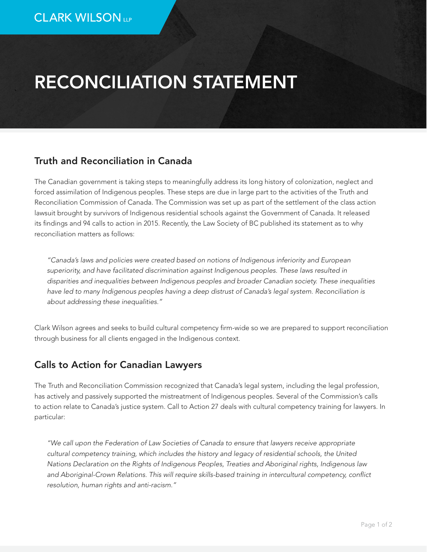## RECONCILIATION STATEMENT

## Truth and Reconciliation in Canada

The Canadian government is taking steps to meaningfully address its long history of colonization, neglect and forced assimilation of Indigenous peoples. These steps are due in large part to the activities of the Truth and Reconciliation Commission of Canada. The Commission was set up as part of the settlement of the class action lawsuit brought by survivors of Indigenous residential schools against the Government of Canada. It released its findings and 94 calls to action in 2015. Recently, the Law Society of BC published its statement as to why reconciliation matters as follows:

*"Canada's laws and policies were created based on notions of Indigenous inferiority and European superiority, and have facilitated discrimination against Indigenous peoples. These laws resulted in disparities and inequalities between Indigenous peoples and broader Canadian society. These inequalities have led to many Indigenous peoples having a deep distrust of Canada's legal system. Reconciliation is about addressing these inequalities."*

Clark Wilson agrees and seeks to build cultural competency firm-wide so we are prepared to support reconciliation through business for all clients engaged in the Indigenous context.

## Calls to Action for Canadian Lawyers

The Truth and Reconciliation Commission recognized that Canada's legal system, including the legal profession, has actively and passively supported the mistreatment of Indigenous peoples. Several of the Commission's calls to action relate to Canada's justice system. Call to Action 27 deals with cultural competency training for lawyers. In particular:

*"We call upon the Federation of Law Societies of Canada to ensure that lawyers receive appropriate cultural competency training, which includes the history and legacy of residential schools, the United Nations Declaration on the Rights of Indigenous Peoples, Treaties and Aboriginal rights, Indigenous law and Aboriginal-Crown Relations. This will require skills-based training in intercultural competency, conflict resolution, human rights and anti-racism."*